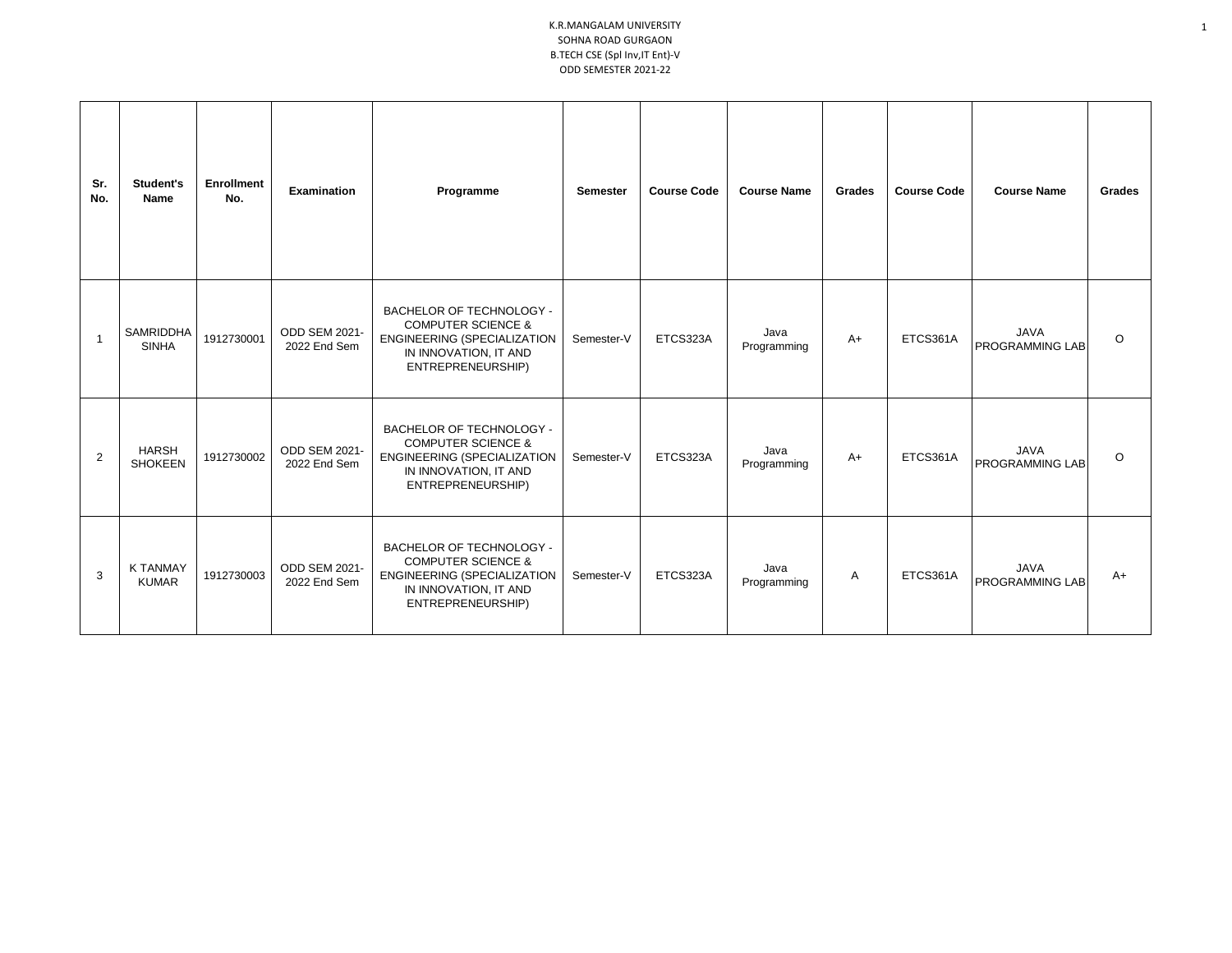| Sr.<br>No.     | Student's<br>Name                | <b>Enrollment</b><br>No. | Examination                          | Programme                                                                                                                                     | <b>Semester</b> | <b>Course Code</b> | <b>Course Name</b>  | Grades | <b>Course Code</b> | <b>Course Name</b>                    | <b>Grades</b> |
|----------------|----------------------------------|--------------------------|--------------------------------------|-----------------------------------------------------------------------------------------------------------------------------------------------|-----------------|--------------------|---------------------|--------|--------------------|---------------------------------------|---------------|
| -1             | <b>SAMRIDDHA</b><br><b>SINHA</b> | 1912730001               | <b>ODD SEM 2021-</b><br>2022 End Sem | BACHELOR OF TECHNOLOGY -<br><b>COMPUTER SCIENCE &amp;</b><br>ENGINEERING (SPECIALIZATION<br>IN INNOVATION, IT AND<br>ENTREPRENEURSHIP)        | Semester-V      | ETCS323A           | Java<br>Programming | $A+$   | ETCS361A           | <b>JAVA</b><br><b>PROGRAMMING LAB</b> | O             |
| $\overline{2}$ | <b>HARSH</b><br><b>SHOKEEN</b>   | 1912730002               | <b>ODD SEM 2021-</b><br>2022 End Sem | BACHELOR OF TECHNOLOGY -<br><b>COMPUTER SCIENCE &amp;</b><br>ENGINEERING (SPECIALIZATION<br>IN INNOVATION, IT AND<br>ENTREPRENEURSHIP)        | Semester-V      | ETCS323A           | Java<br>Programming | $A+$   | ETCS361A           | JAVA<br><b>PROGRAMMING LAB</b>        | $\circ$       |
| 3              | <b>K TANMAY</b><br><b>KUMAR</b>  | 1912730003               | <b>ODD SEM 2021-</b><br>2022 End Sem | BACHELOR OF TECHNOLOGY -<br><b>COMPUTER SCIENCE &amp;</b><br><b>ENGINEERING (SPECIALIZATION</b><br>IN INNOVATION, IT AND<br>ENTREPRENEURSHIP) | Semester-V      | ETCS323A           | Java<br>Programming | A      | ETCS361A           | JAVA<br><b>PROGRAMMING LAB</b>        | $A+$          |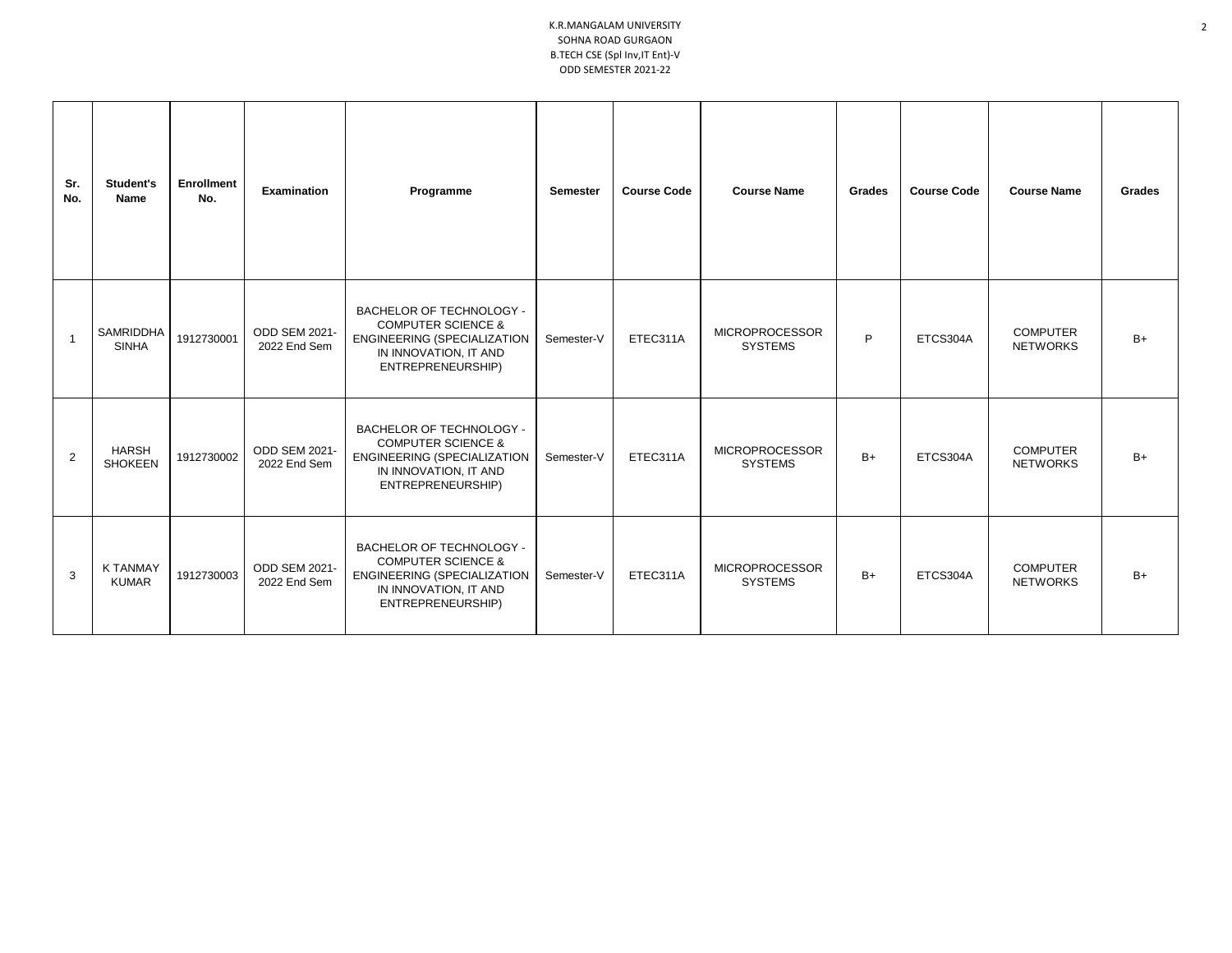| Sr.<br>No.     | Student's<br>Name                | <b>Enrollment</b><br>No. | <b>Examination</b>                   | Programme                                                                                                                                            | <b>Semester</b> | <b>Course Code</b> | <b>Course Name</b>                      | Grades | <b>Course Code</b> | <b>Course Name</b>                 | Grades |
|----------------|----------------------------------|--------------------------|--------------------------------------|------------------------------------------------------------------------------------------------------------------------------------------------------|-----------------|--------------------|-----------------------------------------|--------|--------------------|------------------------------------|--------|
|                | <b>SAMRIDDHA</b><br><b>SINHA</b> | 1912730001               | ODD SEM 2021-<br>2022 End Sem        | BACHELOR OF TECHNOLOGY -<br><b>COMPUTER SCIENCE &amp;</b><br><b>ENGINEERING (SPECIALIZATION</b><br>IN INNOVATION, IT AND<br>ENTREPRENEURSHIP)        | Semester-V      | ETEC311A           | <b>MICROPROCESSOR</b><br><b>SYSTEMS</b> | P      | ETCS304A           | <b>COMPUTER</b><br><b>NETWORKS</b> | B+     |
| $\overline{2}$ | <b>HARSH</b><br><b>SHOKEEN</b>   | 1912730002               | ODD SEM 2021-<br>2022 End Sem        | <b>BACHELOR OF TECHNOLOGY -</b><br><b>COMPUTER SCIENCE &amp;</b><br><b>ENGINEERING (SPECIALIZATION</b><br>IN INNOVATION, IT AND<br>ENTREPRENEURSHIP) | Semester-V      | ETEC311A           | <b>MICROPROCESSOR</b><br><b>SYSTEMS</b> | $B+$   | ETCS304A           | <b>COMPUTER</b><br><b>NETWORKS</b> | B+     |
| 3              | <b>K TANMAY</b><br><b>KUMAR</b>  | 1912730003               | <b>ODD SEM 2021-</b><br>2022 End Sem | <b>BACHELOR OF TECHNOLOGY -</b><br><b>COMPUTER SCIENCE &amp;</b><br><b>ENGINEERING (SPECIALIZATION</b><br>IN INNOVATION, IT AND<br>ENTREPRENEURSHIP) | Semester-V      | ETEC311A           | <b>MICROPROCESSOR</b><br><b>SYSTEMS</b> | $B+$   | ETCS304A           | <b>COMPUTER</b><br><b>NETWORKS</b> | B+     |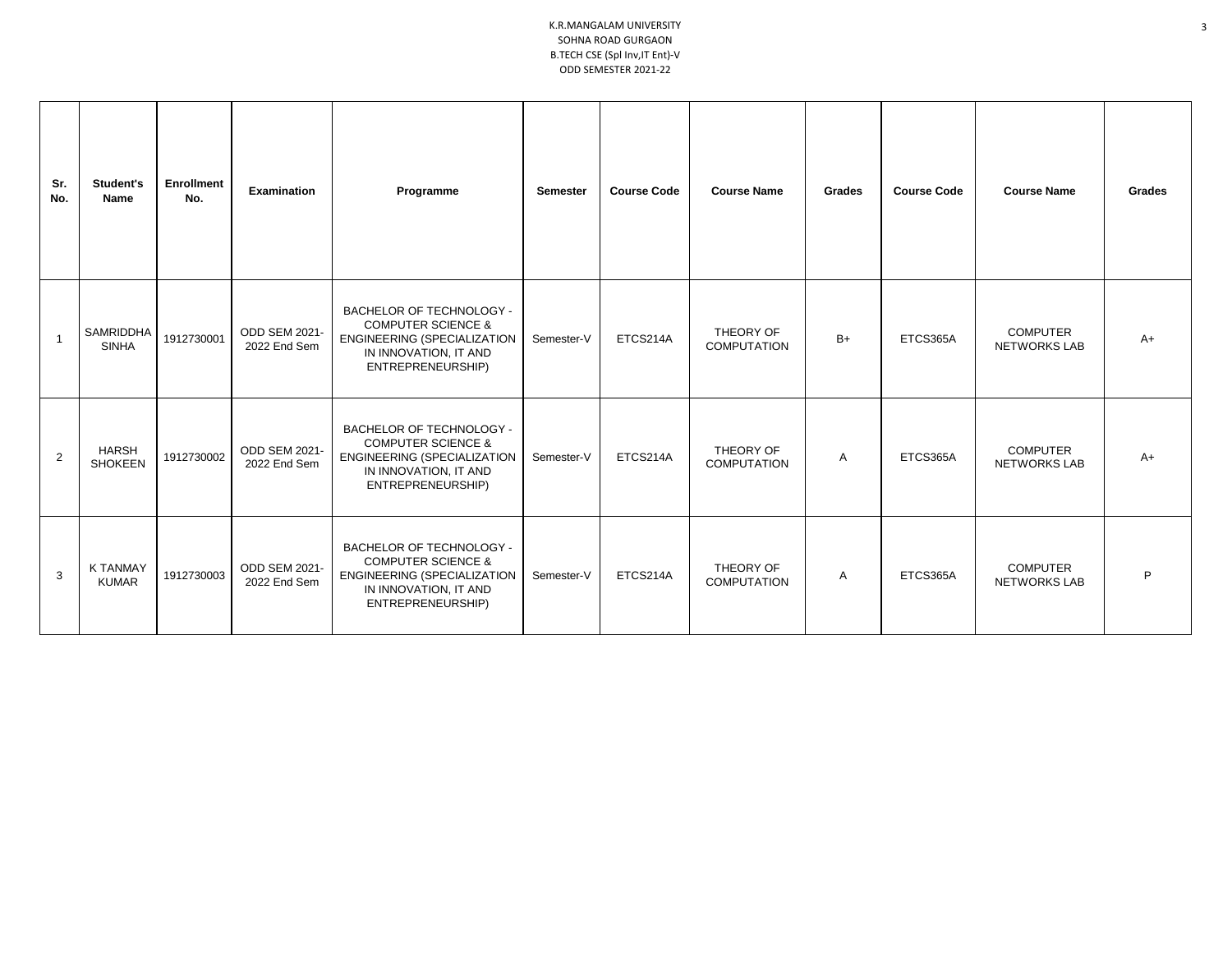| Sr.<br>No. | Student's<br>Name                | <b>Enrollment</b><br>No. | Examination                          | Programme                                                                                                                                            | Semester   | <b>Course Code</b> | <b>Course Name</b>              | Grades | <b>Course Code</b> | <b>Course Name</b>                     | Grades |
|------------|----------------------------------|--------------------------|--------------------------------------|------------------------------------------------------------------------------------------------------------------------------------------------------|------------|--------------------|---------------------------------|--------|--------------------|----------------------------------------|--------|
|            | <b>SAMRIDDHA</b><br><b>SINHA</b> | 1912730001               | <b>ODD SEM 2021-</b><br>2022 End Sem | BACHELOR OF TECHNOLOGY -<br><b>COMPUTER SCIENCE &amp;</b><br><b>ENGINEERING (SPECIALIZATION</b><br>IN INNOVATION, IT AND<br>ENTREPRENEURSHIP)        | Semester-V | ETCS214A           | THEORY OF<br><b>COMPUTATION</b> | $B+$   | ETCS365A           | <b>COMPUTER</b><br><b>NETWORKS LAB</b> | $A+$   |
| 2          | <b>HARSH</b><br><b>SHOKEEN</b>   | 1912730002               | ODD SEM 2021-<br>2022 End Sem        | BACHELOR OF TECHNOLOGY -<br><b>COMPUTER SCIENCE &amp;</b><br><b>ENGINEERING (SPECIALIZATION</b><br>IN INNOVATION, IT AND<br>ENTREPRENEURSHIP)        | Semester-V | ETCS214A           | THEORY OF<br><b>COMPUTATION</b> | A      | ETCS365A           | <b>COMPUTER</b><br><b>NETWORKS LAB</b> | A+     |
| 3          | <b>K TANMAY</b><br><b>KUMAR</b>  | 1912730003               | ODD SEM 2021-<br>2022 End Sem        | <b>BACHELOR OF TECHNOLOGY -</b><br><b>COMPUTER SCIENCE &amp;</b><br><b>ENGINEERING (SPECIALIZATION</b><br>IN INNOVATION, IT AND<br>ENTREPRENEURSHIP) | Semester-V | ETCS214A           | THEORY OF<br><b>COMPUTATION</b> | A      | ETCS365A           | <b>COMPUTER</b><br><b>NETWORKS LAB</b> | D      |